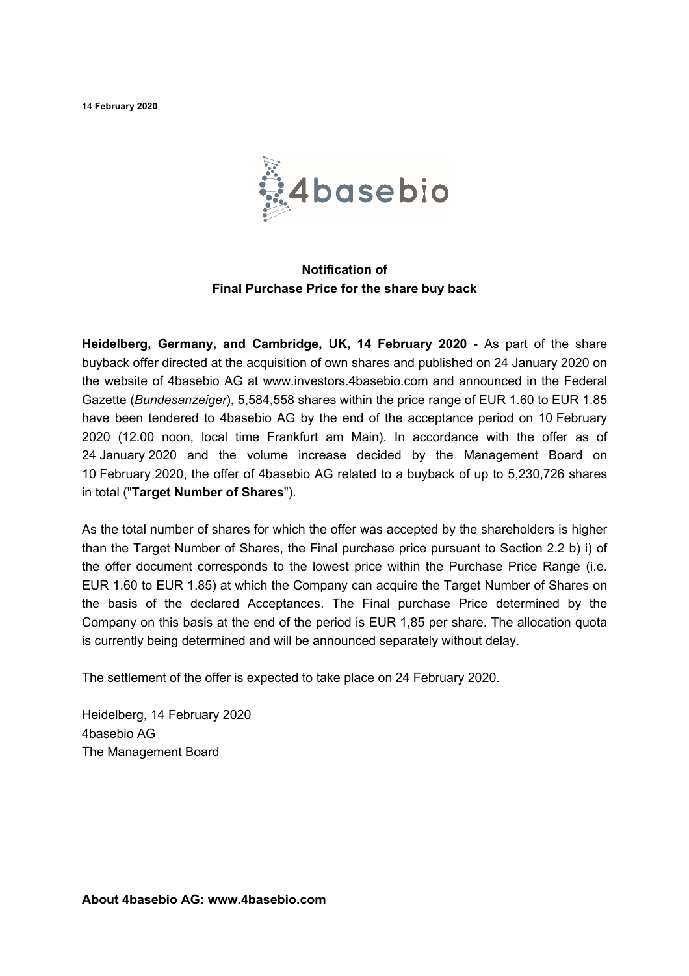14 **February 2020**



## **Notification of Final Purchase Price for the share buy back**

**Heidelberg, Germany, and Cambridge, UK, 14 February 2020** - As part of the share buyback offer directed at the acquisition of own shares and published on 24 January 2020 on the website of 4basebio AG at www.investors.4basebio.com and announced in the Federal Gazette (*Bundesanzeiger*), 5,584,558 shares within the price range of EUR 1.60 to EUR 1.85 have been tendered to 4basebio AG by the end of the acceptance period on 10 February 2020 (12.00 noon, local time Frankfurt am Main). In accordance with the offer as of 24 January 2020 and the volume increase decided by the Management Board on 10 February 2020, the offer of 4basebio AG related to a buyback of up to 5,230,726 shares in total ("**Target Number of Shares**").

As the total number of shares for which the offer was accepted by the shareholders is higher than the Target Number of Shares, the Final purchase price pursuant to Section 2.2 b) i) of the offer document corresponds to the lowest price within the Purchase Price Range (i.e. EUR 1.60 to EUR 1.85) at which the Company can acquire the Target Number of Shares on the basis of the declared Acceptances. The Final purchase Price determined by the Company on this basis at the end of the period is EUR 1,85 per share. The allocation quota is currently being determined and will be announced separately without delay.

The settlement of the offer is expected to take place on 24 February 2020.

Heidelberg, 14 February 2020 4basebio AG The Management Board